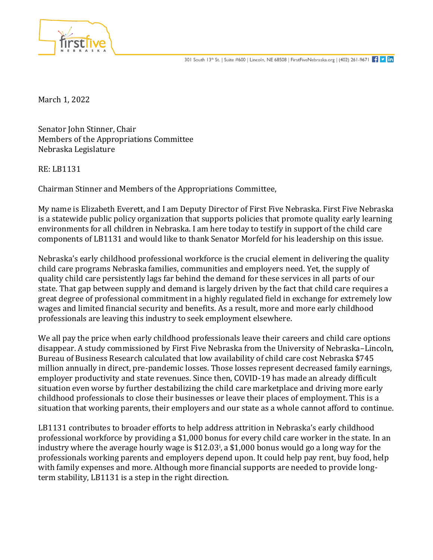

March 1, 2022

Senator John Stinner, Chair Members of the Appropriations Committee Nebraska Legislature

RE: LB1131

Chairman Stinner and Members of the Appropriations Committee,

My name is Elizabeth Everett, and I am Deputy Director of First Five Nebraska. First Five Nebraska is a statewide public policy organization that supports policies that promote quality early learning environments for all children in Nebraska. I am here today to testify in support of the child care components of LB1131 and would like to thank Senator Morfeld for his leadership on this issue.

Nebraska's early childhood professional workforce is the crucial element in delivering the quality child care programs Nebraska families, communities and employers need. Yet, the supply of quality child care persistently lags far behind the demand for these services in all parts of our state. That gap between supply and demand is largely driven by the fact that child care requires a great degree of professional commitment in a highly regulated field in exchange for extremely low wages and limited financial security and benefits. As a result, more and more early childhood professionals are leaving this industry to seek employment elsewhere.

We all pay the price when early childhood professionals leave their careers and child care options disappear. A study commissioned by First Five Nebraska from the University of Nebraska–Lincoln, Bureau of Business Research calculated that low availability of child care cost Nebraska \$745 million annually in direct, pre-pandemic losses. Those losses represent decreased family earnings, employer productivity and state revenues. Since then, COVID-19 has made an already difficult situation even worse by further destabilizing the child care marketplace and driving more early childhood professionals to close their businesses or leave their places of employment. This is a situation that working parents, their employers and our state as a whole cannot afford to continue.

LB1131 contributes to broader efforts to help address attrition in Nebraska's early childhood professional workforce by providing a \$1,000 bonus for every child care worker in the state. In an industry where the average hourly wage is \$12.03<sup>i</sup> , a \$1,000 bonus would go a long way for the professionals working parents and employers depend upon. It could help pay rent, buy food, help with family expenses and more. Although more financial supports are needed to provide longterm stability, LB1131 is a step in the right direction.